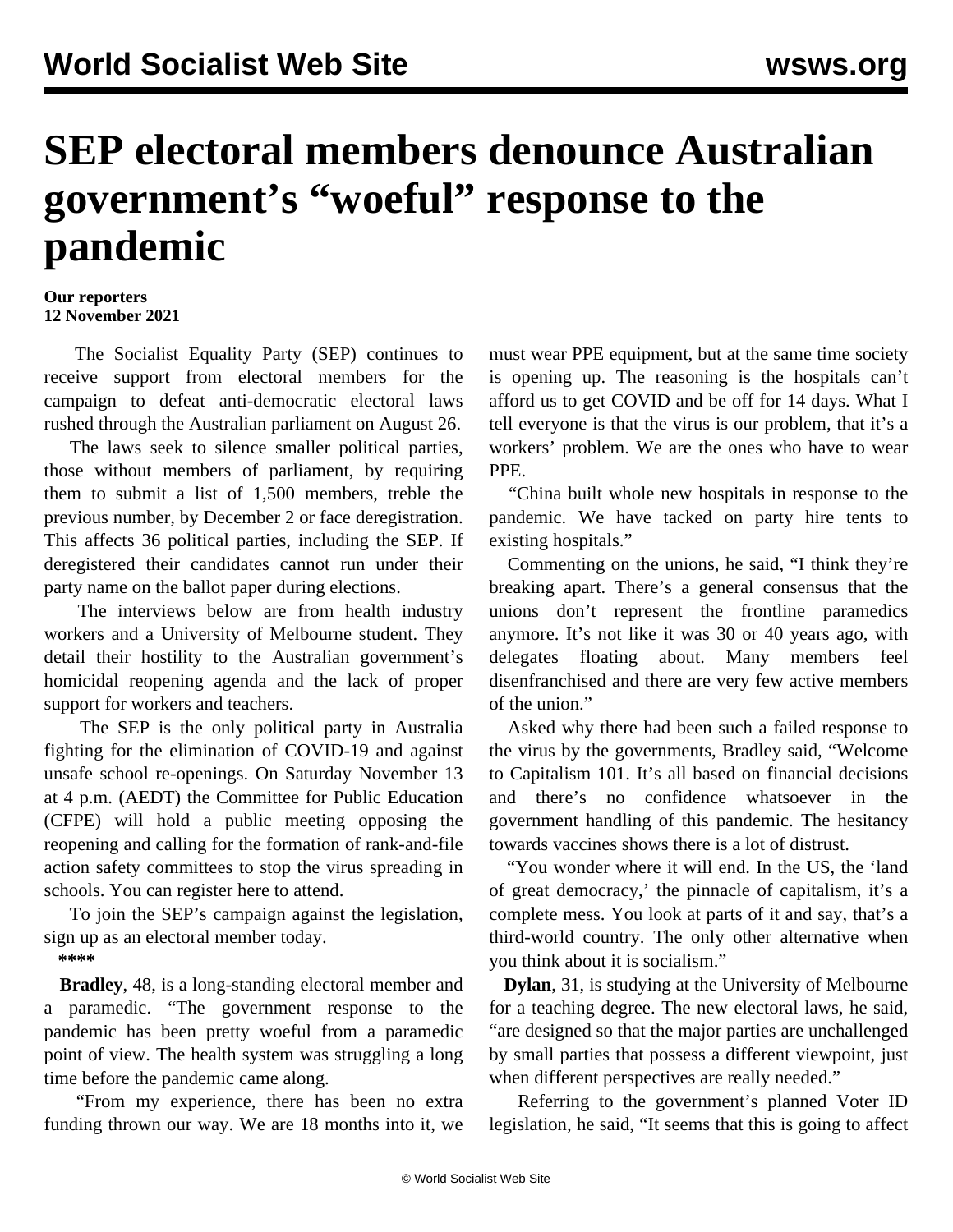## **SEP electoral members denounce Australian government's "woeful" response to the pandemic**

## **Our reporters 12 November 2021**

 The Socialist Equality Party (SEP) continues to receive support from electoral members for the campaign to defeat anti-democratic electoral laws rushed through the Australian parliament on August 26.

 The laws seek to silence smaller political parties, those without members of parliament, by requiring them to submit a list of 1,500 members, treble the previous number, by December 2 or face deregistration. This affects 36 political parties, including the SEP. If deregistered their candidates cannot run under their party name on the ballot paper during elections.

 The interviews below are from health industry workers and a University of Melbourne student. They detail their hostility to the Australian government's homicidal reopening agenda and the lack of proper support for workers and teachers.

 The SEP is the only political party in Australia fighting for the elimination of COVID-19 and against unsafe school re-openings. On Saturday November 13 at 4 p.m. (AEDT) the Committee for Public Education (CFPE) will hold a public meeting opposing the reopening and calling for the formation of rank-and-file action safety committees to stop the virus spreading in schools. You can [register here](https://us06web.zoom.us/webinar/register/WN_6Iov7BqXQRGtOYJUfhKxyQ) to attend.

 To join the SEP's campaign against the legislation, sign up as an [electoral member](/en/special/pages/sep/australia/home.html) today.

**\*\*\*\***

 **Bradley**, 48, is a long-standing electoral member and a paramedic. "The government response to the pandemic has been pretty woeful from a paramedic point of view. The health system was struggling a long time before the pandemic came along.

 "From my experience, there has been no extra funding thrown our way. We are 18 months into it, we

must wear PPE equipment, but at the same time society is opening up. The reasoning is the hospitals can't afford us to get COVID and be off for 14 days. What I tell everyone is that the virus is our problem, that it's a workers' problem. We are the ones who have to wear PPE.

 "China built whole new hospitals in response to the pandemic. We have tacked on party hire tents to existing hospitals."

 Commenting on the unions, he said, "I think they're breaking apart. There's a general consensus that the unions don't represent the frontline paramedics anymore. It's not like it was 30 or 40 years ago, with delegates floating about. Many members feel disenfranchised and there are very few active members of the union."

 Asked why there had been such a failed response to the virus by the governments, Bradley said, "Welcome to Capitalism 101. It's all based on financial decisions and there's no confidence whatsoever in the government handling of this pandemic. The hesitancy towards vaccines shows there is a lot of distrust.

 "You wonder where it will end. In the US, the 'land of great democracy,' the pinnacle of capitalism, it's a complete mess. You look at parts of it and say, that's a third-world country. The only other alternative when you think about it is socialism."

 **Dylan**, 31, is studying at the University of Melbourne for a teaching degree. The new electoral laws, he said, "are designed so that the major parties are unchallenged by small parties that possess a different viewpoint, just when different perspectives are really needed."

 Referring to the government's planned Voter ID legislation, he said, "It seems that this is going to affect